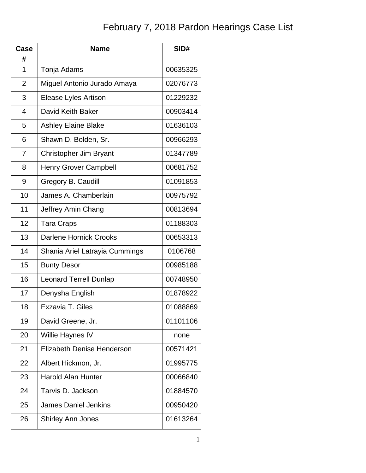## **February 7, 2018 Pardon Hearings Case List**

| Case           | <b>Name</b>                    | SID#     |
|----------------|--------------------------------|----------|
| #<br>1         | Tonja Adams                    | 00635325 |
|                |                                |          |
| $\overline{2}$ | Miguel Antonio Jurado Amaya    | 02076773 |
| 3              | <b>Elease Lyles Artison</b>    | 01229232 |
| $\overline{4}$ | David Keith Baker              | 00903414 |
| 5              | <b>Ashley Elaine Blake</b>     | 01636103 |
| 6              | Shawn D. Bolden, Sr.           | 00966293 |
| $\overline{7}$ | Christopher Jim Bryant         | 01347789 |
| 8              | <b>Henry Grover Campbell</b>   | 00681752 |
| 9              | Gregory B. Caudill             | 01091853 |
| 10             | James A. Chamberlain           | 00975792 |
| 11             | Jeffrey Amin Chang             | 00813694 |
| 12             | <b>Tara Craps</b>              | 01188303 |
| 13             | <b>Darlene Hornick Crooks</b>  | 00653313 |
| 14             | Shania Ariel Latrayia Cummings | 0106768  |
| 15             | <b>Bunty Desor</b>             | 00985188 |
| 16             | <b>Leonard Terrell Dunlap</b>  | 00748950 |
| 17             | Denysha English                | 01878922 |
| 18             | Exzavia T. Giles               | 01088869 |
| 19             | David Greene, Jr.              | 01101106 |
| 20             | Willie Haynes IV               | none     |
| 21             | Elizabeth Denise Henderson     | 00571421 |
| 22             | Albert Hickmon, Jr.            | 01995775 |
| 23             | <b>Harold Alan Hunter</b>      | 00066840 |
| 24             | Tarvis D. Jackson              | 01884570 |
| 25             | James Daniel Jenkins           | 00950420 |
| 26             | <b>Shirley Ann Jones</b>       | 01613264 |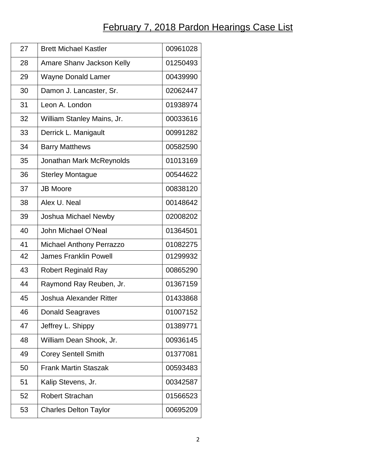## **February 7, 2018 Pardon Hearings Case List**

| 27 | <b>Brett Michael Kastler</b>    | 00961028 |
|----|---------------------------------|----------|
| 28 | Amare Shany Jackson Kelly       | 01250493 |
| 29 | Wayne Donald Lamer              | 00439990 |
| 30 | Damon J. Lancaster, Sr.         | 02062447 |
| 31 | Leon A. London                  | 01938974 |
| 32 | William Stanley Mains, Jr.      | 00033616 |
| 33 | Derrick L. Manigault            | 00991282 |
| 34 | <b>Barry Matthews</b>           | 00582590 |
| 35 | Jonathan Mark McReynolds        | 01013169 |
| 36 | <b>Sterley Montague</b>         | 00544622 |
| 37 | <b>JB Moore</b>                 | 00838120 |
| 38 | Alex U. Neal                    | 00148642 |
| 39 | Joshua Michael Newby            | 02008202 |
| 40 | John Michael O'Neal             | 01364501 |
| 41 | <b>Michael Anthony Perrazzo</b> | 01082275 |
| 42 | <b>James Franklin Powell</b>    | 01299932 |
| 43 | <b>Robert Reginald Ray</b>      | 00865290 |
| 44 | Raymond Ray Reuben, Jr.         | 01367159 |
| 45 | <b>Joshua Alexander Ritter</b>  | 01433868 |
| 46 | <b>Donald Seagraves</b>         | 01007152 |
| 47 | Jeffrey L. Shippy               | 01389771 |
| 48 | William Dean Shook, Jr.         | 00936145 |
| 49 | <b>Corey Sentell Smith</b>      | 01377081 |
| 50 | <b>Frank Martin Staszak</b>     | 00593483 |
| 51 | Kalip Stevens, Jr.              | 00342587 |
| 52 | <b>Robert Strachan</b>          | 01566523 |
| 53 | <b>Charles Delton Taylor</b>    | 00695209 |